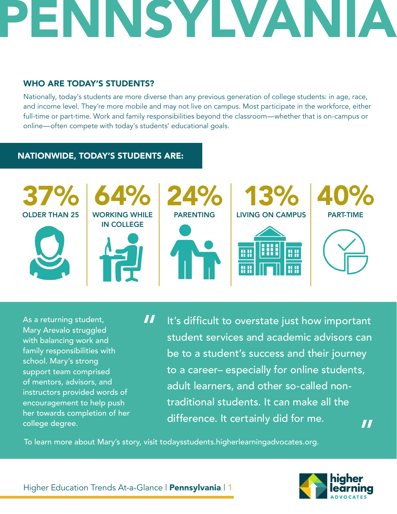## ENNSYLVANI,

## WHO ARE TODAY'S STUDENTS?

Nationally, today's students are more diverse than any previous generation of college students: in age, race, and income level. They're more mobile and may not live on campus. Most participate in the workforce, either full-time or part-time. Work and family responsibilities beyond the classroom—whether that is on-campus or online—often compete with today's students' educational goals.

## NATIONWIDE, TODAY'S STUDENTS ARE:



As a returning student, Mary Arevalo struggled with balancing work and family responsibilities with school. Mary's strong support team comprised of mentors, advisors, and instructors provided words of encouragement to help push her towards completion of her college degree.

It's difficult to overstate just how important student services and academic advisors can be to a student's success and their journey to a career– especially for online students, adult learners, and other so-called nontraditional students. It can make all the difference. It certainly did for me. " "

To learn more about Mary's story, visit todaysstudents.higherlearningadvocates.org.



Higher Education Trends At-a-Glance | Pennsylvania | 1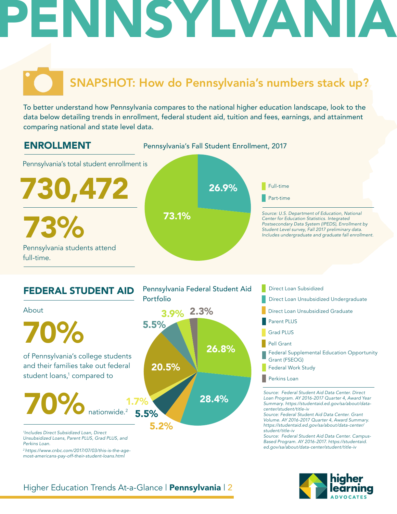## ENNSYLVANI

## SNAPSHOT: How do Pennsylvania's numbers stack up?

To better understand how Pennsylvania compares to the national higher education landscape, look to the data below detailing trends in enrollment, federal student aid, tuition and fees, earnings, and attainment comparing national and state level data.





- Direct Loan Subsidized
- 
- Direct Loan Unsubsidized Graduate
- Parent PLUS
- Grad PLUS
- Pell Grant
- Federal Supplemental Education Opportunity Grant (FSEOG)
- Federal Work Study
- **Perkins Loan**

*Source: Federal Student Aid Data Center. Direct Loan Program. AY 2016-2017 Quarter 4, Award Year Summary. https://studentaid.ed.gov/sa/about/datacenter/student/title-iv*

*Source: Federal Student Aid Data Center. Grant Volume. AY 2016-2017 Quarter 4, Award Summary. https://studentaid.ed.gov/sa/about/data-center/ student/title-iv*

*Source: Federal Student Aid Data Center. Campus-Based Program. AY 2016-2017. https://studentaid. ed.gov/sa/about/data-center/student/title-iv*



### Higher Education Trends At-a-Glance | Pennsylvania | 2

*2 https://www.cnbc.com/2017/07/03/this-is-the-agemost-americans-pay-off-their-student-loans.html*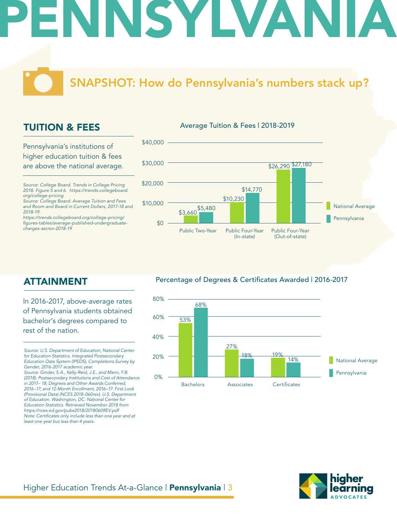# INSYLVAN

## SNAPSHOT: How do Pennsylvania's numbers stack up?

Average Tuition & Fees | 2018-2019

## TUITION & FEES

Pennsylvania's institutions of higher education tuition & fees are above the national average.

*Source: College Board. Trends in College Pricing 2018. Figure 5 and 6. https://trends.collegeboard. org/college-pricing*

*Source: College Board. Average Tuition and Fees and Room and Board in Current Dollars, 2017-18 and 2018-19.*

*https://trends.collegeboard.org/college-pricing/* figures-tables/average-published-undergraduate*charges-sector-2018-19*



## ATTAINMENT

In 2016-2017, above-average rates of Pennsylvania students obtained bachelor's degrees compared to rest of the nation.

*Source: U.S. Department of Education, National Center for Education Statistics. Integrated Postsecondary Education Data System (IPEDS), Completions Survey by Gender, 2016-2017 academic year.* 

*Source: Ginder, S.A., Kelly-Reid, J.E., and Mann, F.B. (2018). Postsecondary Institutions and Cost of Attendance in 2017– 18; Degrees and Other Awards Conferred, 2016–17; and 12-Month Enrollment, 2016–17: First Look (Provisional Data) (NCES 2018-060rev). U.S. Department of Education. Washington, DC: National Center for Education Statistics. Retrieved November 2018 from https://nces.ed.gov/pubs2018/2018060REV.pdf* Note: Certificates only include less than one year and at *least one year but less than 4 years.* 

### Percentage of Degrees & Certificates Awarded | 2016-2017



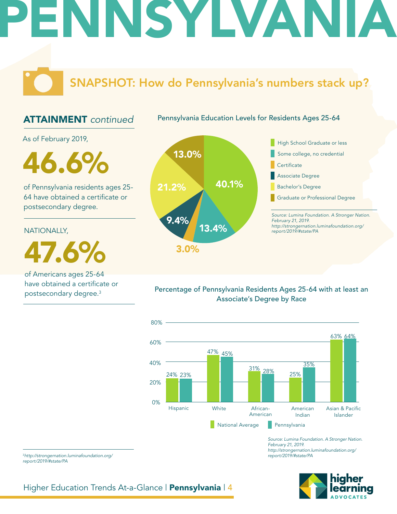## ENNSYLVANI

## SNAPSHOT: How do Pennsylvania's numbers stack up?

## ATTAINMENT *continued*

Pennsylvania Education Levels for Residents Ages 25-64

As of February 2019,

46.6%

of Pennsylvania residents ages 25- 64 have obtained a certificate or postsecondary degree.

NATIONALLY,

47.6%

of Americans ages 25-64 have obtained a certificate or postsecondary degree.3



*Source: Lumina Foundation. A Stronger Nation. http://strongernation.luminafoundation.org/* Graduate or Professional Degree

Percentage of Pennsylvania Residents Ages 25-64 with at least an Associate's Degree by Race



*Source: Lumina Foundation. A Stronger Nation. February 21, 2019. http://strongernation.luminafoundation.org/ report/2019/#state/PA*



<sup>3</sup>*http://strongernation.luminafoundation.org/ report/2019/#state/PA*

Higher Education Trends At-a-Glance | Pennsylvania | 4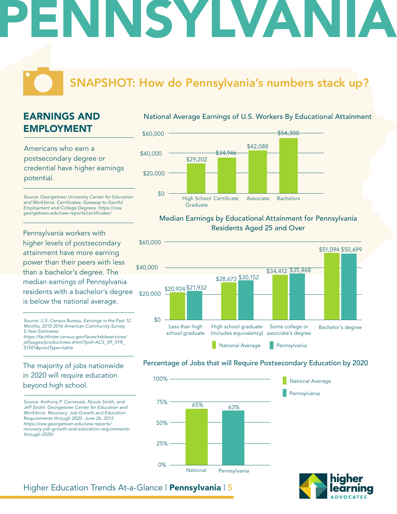# INSYLVANI

## SNAPSHOT: How do Pennsylvania's numbers stack up?

## EARNINGS AND EMPLOYMENT

Americans who earn a postsecondary degree or credential have higher earnings potential.

*Source: Georgetown University Center for Education*  and Workforce. Certificates: Gateway to Gainful *Employment and College Degrees. https://cew.* georgetown.edu/cew-reports/certificates/

Pennsylvania workers with higher levels of postsecondary attainment have more earning power than their peers with less than a bachelor's degree. The median earnings of Pennsylvania residents with a bachelor's degree is below the national average.

*Source: U.S. Census Bureau, Earnings in the Past 12 Months, 2012-2016 American Community Survey 5-Year Estimates.*

https://factfinder.census.gov/faces/tableservices/ *jsf/pages/productview.xhtml?pid=ACS\_09\_5YR\_ S1501&prodType=table*

### The majority of jobs nationwide in 2020 will require education beyond high school.

*Source: Anthony P. Carnevale, Nicole Smith, and Jeff Strohl. Georgetown Center for Education and Workforce. Recovery: Job Growth and Education Requirements through 2020. June 26, 2013. https://cew.georgetown.edu/cew-reports/ recovery-job-growth-and-education-requirementsthrough-2020/*

### National Average Earnings of U.S. Workers By Educational Attainment



#### Median Earnings by Educational Attainment for Pennsylvania Residents Aged 25 and Over



### Percentage of Jobs that will Require Postsecondary Education by 2020





### Higher Education Trends At-a-Glance | Pennsylvania | 5